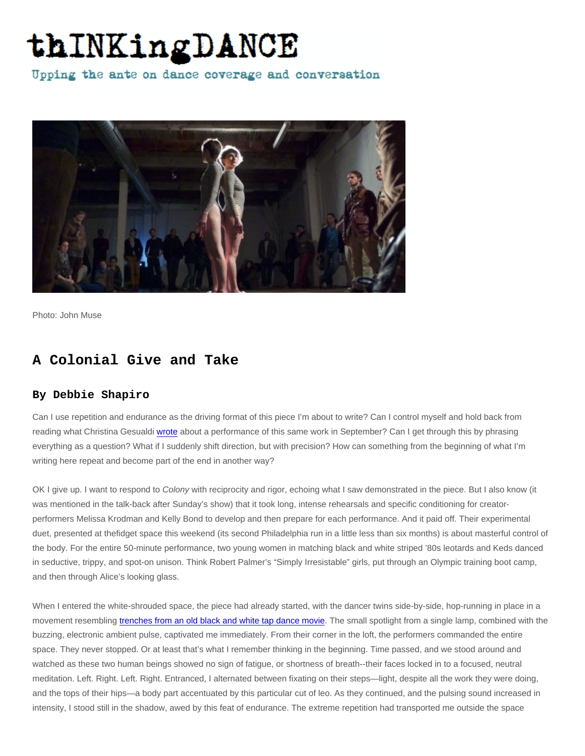Photo: John Muse

## A Colonial Give and Take

## By Debbie Shapiro

Can I use repetition and endurance as the driving format of this piece I'm about to write? Can I control myself and hold back from reading what Christina Gesualdi [wrote](http://thinkingdance.net/articles/2012/09/18/Colony-A-Universe-of-Presence) about a performance of this same work in September? Can I get through this by phrasing everything as a question? What if I suddenly shift direction, but with precision? How can something from the beginning of what I'm writing here repeat and become part of the end in another way?

OK I give up. I want to respond to Colony with reciprocity and rigor, echoing what I saw demonstrated in the piece. But I also know (it was mentioned in the talk-back after Sunday's show) that it took long, intense rehearsals and specific conditioning for creatorperformers Melissa Krodman and Kelly Bond to develop and then prepare for each performance. And it paid off. Their experimental duet, presented at thefidget space this weekend (its second Philadelphia run in a little less than six months) is about masterful control of the body. For the entire 50-minute performance, two young women in matching black and white striped '80s leotards and Keds danced in seductive, trippy, and spot-on unison. Think Robert Palmer's "Simply Irresistable" girls, put through an Olympic training boot camp, and then through Alice's looking glass.

When I entered the white-shrouded space, the piece had already started, with the dancer twins side-by-side, hop-running in place in a movement resembling [trenches from an old black and white tap dance movie](http://www.danceadvantage.net/2012/01/23/toots-davis/). The small spotlight from a single lamp, combined with the buzzing, electronic ambient pulse, captivated me immediately. From their corner in the loft, the performers commanded the entire space. They never stopped. Or at least that's what I remember thinking in the beginning. Time passed, and we stood around and watched as these two human beings showed no sign of fatigue, or shortness of breath--their faces locked in to a focused, neutral meditation. Left. Right. Left. Right. Entranced, I alternated between fixating on their steps—light, despite all the work they were doing, and the tops of their hips—a body part accentuated by this particular cut of leo. As they continued, and the pulsing sound increased in intensity, I stood still in the shadow, awed by this feat of endurance. The extreme repetition had transported me outside the space